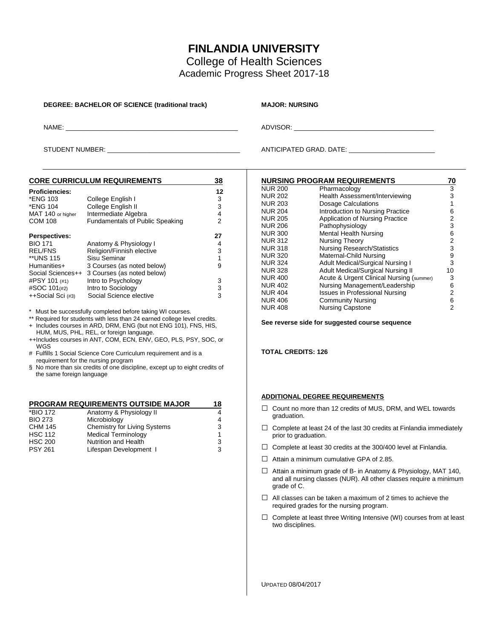# **FINLANDIA UNIVERSITY**

College of Health Sciences Academic Progress Sheet 2017-18

#### **DEGREE: BACHELOR OF SCIENCE (traditional track) MAJOR: NURSING**

NAME: \_\_\_\_\_\_\_\_\_\_\_\_\_\_\_\_\_\_\_\_\_\_\_\_\_\_\_\_\_\_\_\_\_\_\_\_\_\_\_\_\_\_\_\_\_\_\_\_ ADVISOR: \_\_\_\_\_\_\_\_\_\_\_\_\_\_\_\_\_\_\_\_\_\_\_\_\_\_\_\_\_\_\_\_\_\_\_\_\_\_\_

STUDENT NUMBER: \_\_\_\_\_\_\_\_\_\_\_\_\_\_\_\_\_\_\_\_\_\_\_\_\_\_\_\_\_\_\_\_\_\_\_\_\_ ANTICIPATED GRAD. DATE: \_\_\_\_\_\_\_\_\_\_\_\_\_\_\_\_\_\_\_\_\_\_\_\_

| <b>CORE CURRICULUM REQUIREMENTS</b>    |                      |  |  |
|----------------------------------------|----------------------|--|--|
|                                        | 12                   |  |  |
| College English I                      | 3                    |  |  |
| College English II                     | 3                    |  |  |
|                                        | 4                    |  |  |
| <b>Fundamentals of Public Speaking</b> | 2                    |  |  |
|                                        | 27                   |  |  |
| Anatomy & Physiology I                 | 4                    |  |  |
| Religion/Finnish elective              | 3                    |  |  |
| Sisu Seminar                           | 1                    |  |  |
| 3 Courses (as noted below)             | 9                    |  |  |
| 3 Courses (as noted below)             |                      |  |  |
| Intro to Psychology                    | 3                    |  |  |
| Intro to Sociology                     | 3                    |  |  |
| Social Science elective                | 3                    |  |  |
|                                        | Intermediate Algebra |  |  |

Must be successfully completed before taking WI courses.

\*\* Required for students with less than 24 earned college level credits. + Includes courses in ARD, DRM, ENG (but not ENG 101), FNS, HIS,

HUM, MUS, PHL, REL, or foreign language. ++Includes courses in ANT, COM, ECN, ENV, GEO, PLS, PSY, SOC, or WGS

# Fulfills 1 Social Science Core Curriculum requirement and is a requirement for the nursing program

§ No more than six credits of one discipline, except up to eight credits of the same foreign language

### **PROGRAM REQUIREMENTS OUTSIDE MAJOR 18**

| *BIO 172       | Anatomy & Physiology II      |   |
|----------------|------------------------------|---|
| <b>BIO 273</b> | Microbiology                 | 4 |
| CHM 145        | Chemistry for Living Systems | 3 |
| <b>HSC 112</b> | <b>Medical Terminology</b>   |   |
| <b>HSC 200</b> | Nutrition and Health         | 3 |
| <b>PSY 261</b> | Lifespan Development I       | વ |

|                | <b>NURSING PROGRAM REQUIREMENTS</b>      | 70             |
|----------------|------------------------------------------|----------------|
| <b>NUR 200</b> | Pharmacology                             | 3<br>3         |
| <b>NUR 202</b> | Health Assessment/Interviewing           |                |
| <b>NUR 203</b> | Dosage Calculations                      | 1              |
| <b>NUR 204</b> | Introduction to Nursing Practice         | 6              |
| <b>NUR 205</b> | Application of Nursing Practice          | 2              |
| <b>NUR 206</b> | Pathophysiology                          | 3              |
| <b>NUR 300</b> | <b>Mental Health Nursing</b>             | 6              |
| <b>NUR 312</b> | Nursing Theory                           | $\overline{2}$ |
| <b>NUR 318</b> | <b>Nursing Research/Statistics</b>       | 3              |
| <b>NUR 320</b> | Maternal-Child Nursing                   | 9              |
| <b>NUR 324</b> | <b>Adult Medical/Surgical Nursing I</b>  | 3              |
| <b>NUR 328</b> | <b>Adult Medical/Surgical Nursing II</b> | 10             |
| <b>NUR 400</b> | Acute & Urgent Clinical Nursing (summer) | 3              |
| <b>NUR 402</b> | Nursing Management/Leadership            | 6              |
| <b>NUR 404</b> | <b>Issues in Professional Nursing</b>    | 2              |
| <b>NUR 406</b> | <b>Community Nursing</b>                 | 6              |
| <b>NUR 408</b> | <b>Nursing Capstone</b>                  | 2              |

**See reverse side for suggested course sequence**

**TOTAL CREDITS: 126**

#### **ADDITIONAL DEGREE REQUIREMENTS**

- □ Count no more than 12 credits of MUS, DRM, and WEL towards graduation.
- $\Box$  Complete at least 24 of the last 30 credits at Finlandia immediately prior to graduation.
- $\Box$  Complete at least 30 credits at the 300/400 level at Finlandia.
- $\Box$  Attain a minimum cumulative GPA of 2.85.
- □ Attain a minimum grade of B- in Anatomy & Physiology, MAT 140, and all nursing classes (NUR). All other classes require a minimum grade of C.
- $\Box$  All classes can be taken a maximum of 2 times to achieve the required grades for the nursing program.
- $\Box$  Complete at least three Writing Intensive (WI) courses from at least two disciplines.